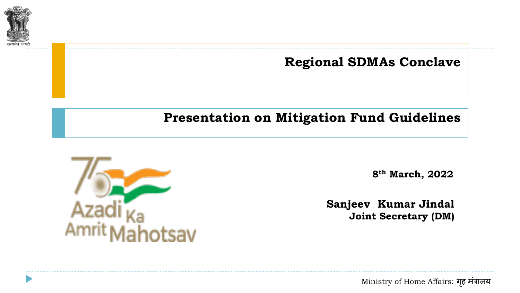

**Regional SDMAs Conclave**

#### **Presentation on Mitigation Fund Guidelines**



**8th March, 2022**

**Sanjeev Kumar Jindal Joint Secretary (DM)**

Ministry of Home Affairs: गहृ मंत्रालय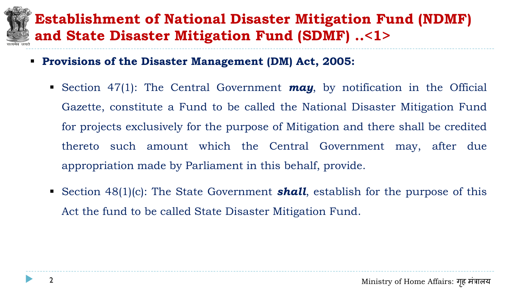#### **Establishment of National Disaster Mitigation Fund (NDMF) and State Disaster Mitigation Fund (SDMF) ..<1>**

- **Provisions of the Disaster Management (DM) Act, 2005:**
	- Section 47(1): The Central Government *may*, by notification in the Official Gazette, constitute a Fund to be called the National Disaster Mitigation Fund for projects exclusively for the purpose of Mitigation and there shall be credited thereto such amount which the Central Government may, after due appropriation made by Parliament in this behalf, provide.
	- Section 48(1)(c): The State Government **shall**, establish for the purpose of this Act the fund to be called State Disaster Mitigation Fund.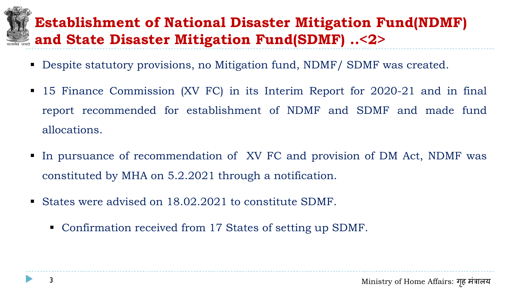#### **Establishment of National Disaster Mitigation Fund(NDMF) and State Disaster Mitigation Fund(SDMF) ..<2>**

- Despite statutory provisions, no Mitigation fund, NDMF / SDMF was created.
- 15 Finance Commission (XV FC) in its Interim Report for 2020-21 and in final report recommended for establishment of NDMF and SDMF and made fund allocations.
- In pursuance of recommendation of XV FC and provision of DM Act, NDMF was constituted by MHA on 5.2.2021 through a notification.
- States were advised on 18.02.2021 to constitute SDMF.
	- Confirmation received from 17 States of setting up SDMF.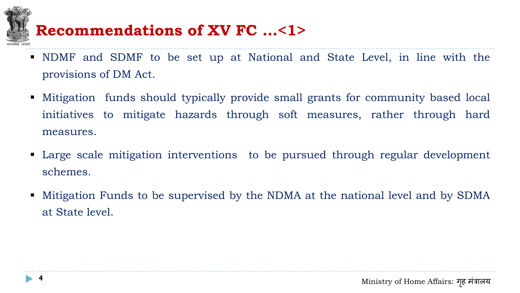- NDMF and SDMF to be set up at National and State Level, in line with the provisions of DM Act.
- Mitigation funds should typically provide small grants for community based local initiatives to mitigate hazards through soft measures, rather through hard measures. **Recommendations of XV FC ...<1>**<br>
NDMF and SDMF to be set up at National a<br>
provisions of DM Act.<br>
Mitigation funds should typically provide small<br>
initiatives to mitigate hazards through soft<br>
measures.<br>
Large scale miti
- Large scale mitigation interventions to be pursued through regular development schemes.
- Mitigation Funds to be supervised by the NDMA at the national level and by SDMA at State level.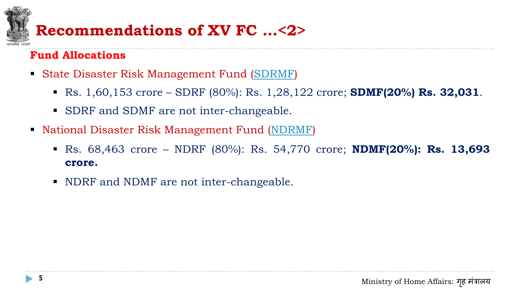#### **Fund Allocations**

- State Disaster Risk Management Fund [\(SDRMF](#page-20-0))
	- Rs. 1,60,153 crore SDRF (80%): Rs. 1,28,122 crore; **SDMF(20%) Rs. 32,031**.
	- **SDRF** and SDMF are not inter-changeable.
- **National Disaster Risk Management Fund [\(NDRMF\)](#page-21-0)**
- Rs. 68,463 crore NDRF (80%): Rs. 54,770 crore; **NDMF(20%): Rs. 13,693 crore. Recommendations of XV FC ... <2>**<br>
und Allocations<br>
State Disaster Risk Management Fund (SDRMF)<br>
R. 1,60,153 crore – SDRF (80%): Rs. 1,28,12<br>
SDRF and SDMF are not inter-changeable.<br>
National Disaster Risk Management Fund
	- NDRF and NDMF are not inter-changeable.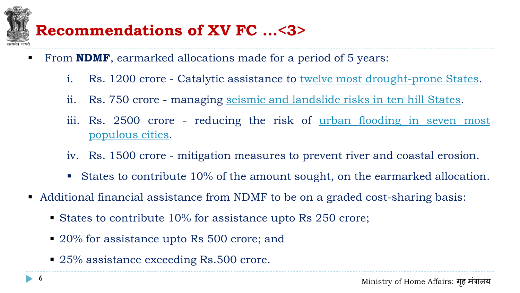# **Recommendations of XV FC …<3>**

- **Fighthally From <b>NDMF**, earmarked allocations made for a period of 5 years:
	- i. Rs. 1200 crore Catalytic assistance to [twelve](#page-17-0) [most](#page-17-0) [drought-prone](#page-17-0) [States.](#page-17-0)
	- ii. Rs. 750 crore managing [seismic](#page-18-0) [and](#page-18-0) [landslide](#page-18-0) [risks](#page-18-0) [in](#page-18-0) [ten](#page-18-0) [hill](#page-18-0) [States.](#page-18-0)
	- iii. Rs. 2500 crore reducing the risk of <u>[urban](#page-19-0) [flooding](#page-19-0) [in](#page-19-0) [seven](#page-19-0) [most](#page-19-0)</u> [populous](#page-19-0) [cities.](#page-19-0)
	- iv. Rs. 1500 crore mitigation measures to prevent river and coastal erosion.
	- States to contribute 10% of the amount sought, on the earmarked allocation.
- Additional financial assistance from NDMF to be on a graded cost-sharing basis:
	- **States to contribute 10% for assistance upto Rs 250 crore;**
	- 20% for assistance upto Rs 500 crore; and
	- 25% assistance exceeding Rs.500 crore.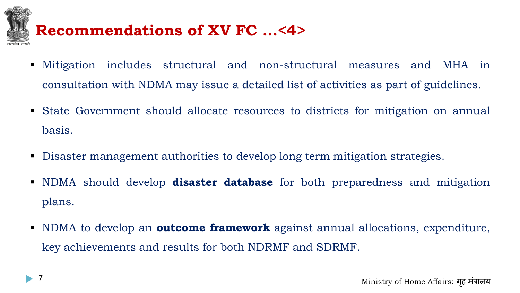

#### **Recommendations of XV FC …<4>**

- Mitigation includes structural and non-structural measures and MHA in consultation with NDMA may issue a detailed list of activities as part of guidelines.
- State Government should allocate resources to districts for mitigation on annual basis.
- Disaster management authorities to develop long term mitigation strategies.
- NDMA should develop **disaster database** for both preparedness and mitigation plans.
- NDMA to develop an **outcome framework** against annual allocations, expenditure, key achievements and results for both NDRMF and SDRMF.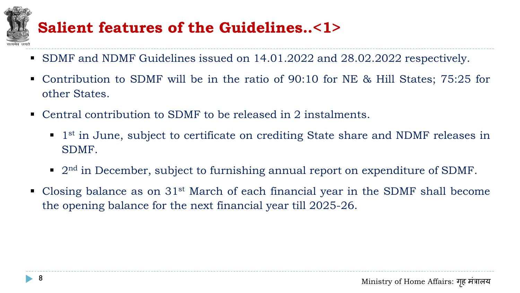#### **Salient features of the Guidelines..<1>**

- SDMF and NDMF Guidelines issued on 14.01.2022 and 28.02.2022 respectively.
- Contribution to SDMF will be in the ratio of 90:10 for NE & Hill States; 75:25 for other States.
- Central contribution to SDMF to be released in 2 instalments.
	- <sup>1st</sup> in June, subject to certificate on crediting State share and NDMF releases in SDMF.
	- 2<sup>nd</sup> in December, subject to furnishing annual report on expenditure of SDMF.
- Closing balance as on 31<sup>st</sup> March of each financial year in the SDMF shall become the opening balance for the next financial year till 2025-26.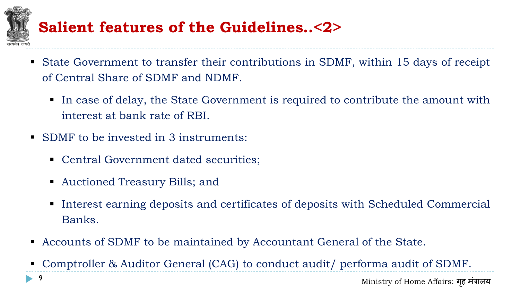## **Salient features of the Guidelines..<2>**

- State Government to transfer their contributions in SDMF, within 15 days of receipt of Central Share of SDMF and NDMF.
	- In case of delay, the State Government is required to contribute the amount with interest at bank rate of RBI.
- SDMF to be invested in 3 instruments:
	- Central Government dated securities;
	- Auctioned Treasury Bills; and
	- Interest earning deposits and certificates of deposits with Scheduled Commercial Banks.
- Accounts of SDMF to be maintained by Accountant General of the State.
- Comptroller & Auditor General (CAG) to conduct audit/ performa audit of SDMF.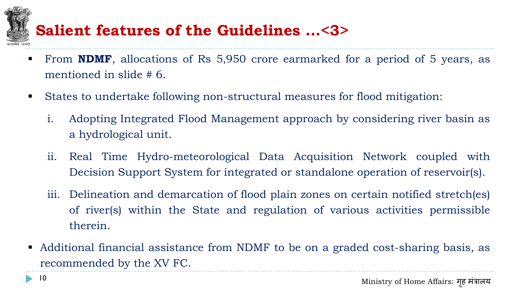# **Salient features of the Guidelines …<3>**

- From **NDMF**, allocations of Rs 5,950 crore earmarked for a period of 5 years, as mentioned in slide # 6.
- States to undertake following non-structural measures for flood mitigation:
	- i. Adopting Integrated Flood Management approach by considering river basin as a hydrological unit.
	- ii. Real Time Hydro-meteorological Data Acquisition Network coupled with Decision Support System for integrated or standalone operation of reservoir(s).
	- iii. Delineation and demarcation of flood plain zones on certain notified stretch(es) of river(s) within the State and regulation of various activities permissible therein.
- Additional financial assistance from NDMF to be on a graded cost-sharing basis, as recommended by the XV FC.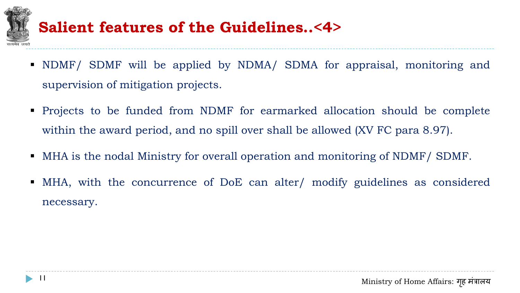

#### **Salient features of the Guidelines..<4>**

- NDMF/ SDMF will be applied by NDMA/ SDMA for appraisal, monitoring and supervision of mitigation projects.
- Projects to be funded from NDMF for earmarked allocation should be complete within the award period, and no spill over shall be allowed (XV FC para 8.97).
- MHA is the nodal Ministry for overall operation and monitoring of NDMF/ SDMF.
- MHA, with the concurrence of DoE can alter/ modify guidelines as considered necessary.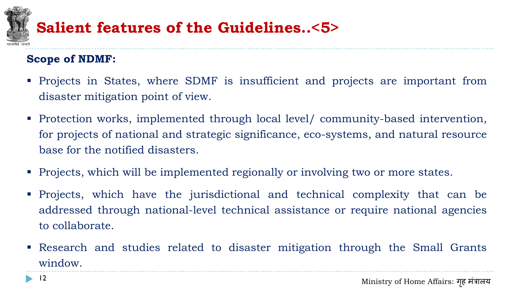

#### **Salient features of the Guidelines..<5>**

#### **Scope of NDMF:**

- Projects in States, where SDMF is insufficient and projects are important from disaster mitigation point of view.
- Protection works, implemented through local level/ community-based intervention, for projects of national and strategic significance, eco-systems, and natural resource base for the notified disasters.
- Projects, which will be implemented regionally or involving two or more states.
- Projects, which have the jurisdictional and technical complexity that can be addressed through national-level technical assistance or require national agencies to collaborate.
- Research and studies related to disaster mitigation through the Small Grants window.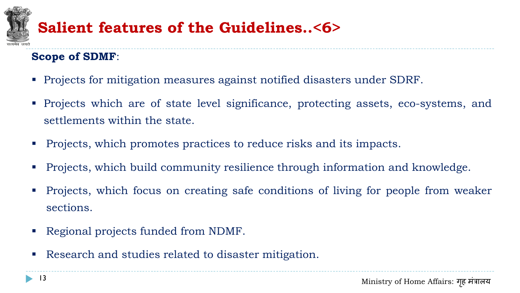### **Salient features of the Guidelines..<6>**

#### **Scope of SDMF**:

- **Projects for mitigation measures against notified disasters under SDRF.**
- Projects which are of state level significance, protecting assets, eco-systems, and settlements within the state.
- **Projects, which promotes practices to reduce risks and its impacts.**
- **Projects, which build community resilience through information and knowledge.**
- **Projects, which focus on creating safe conditions of living for people from weaker** sections.
- Regional projects funded from NDMF.
- Research and studies related to disaster mitigation.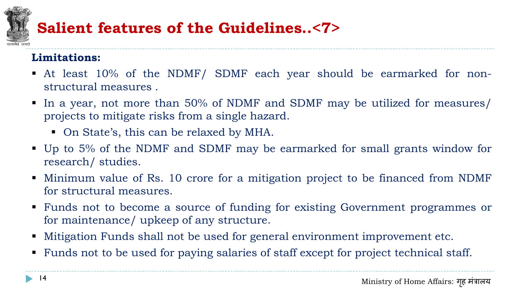# **Salient features of the Guidelines..<7>**

#### **Limitations:**

- At least 10% of the NDMF/ SDMF each year should be earmarked for nonstructural measures .
- In a year, not more than 50% of NDMF and SDMF may be utilized for measures/ projects to mitigate risks from a single hazard.
	- On State's, this can be relaxed by MHA.
- Up to 5% of the NDMF and SDMF may be earmarked for small grants window for research/ studies.
- Minimum value of Rs. 10 crore for a mitigation project to be financed from NDMF for structural measures.
- Funds not to become a source of funding for existing Government programmes or for maintenance/ upkeep of any structure.
- Mitigation Funds shall not be used for general environment improvement etc.
- Funds not to be used for paying salaries of staff except for project technical staff.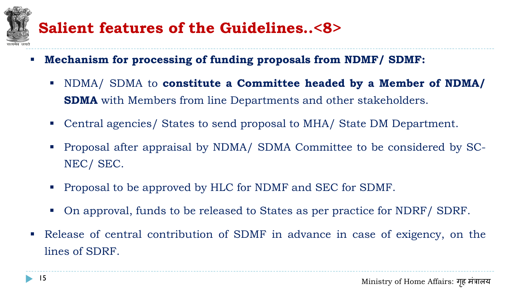## **Salient features of the Guidelines..<8>**

- **Mechanism for processing of funding proposals from NDMF/ SDMF:**
	- NDMA/ SDMA to **constitute a Committee headed by a Member of NDMA/ SDMA** with Members from line Departments and other stakeholders.
	- Central agencies/ States to send proposal to MHA/ State DM Department.
	- Proposal after appraisal by NDMA/ SDMA Committee to be considered by SC-NEC/ SEC.
	- **Proposal to be approved by HLC for NDMF and SEC for SDMF.**
	- On approval, funds to be released to States as per practice for NDRF/ SDRF.
- Release of central contribution of SDMF in advance in case of exigency, on the lines of SDRF.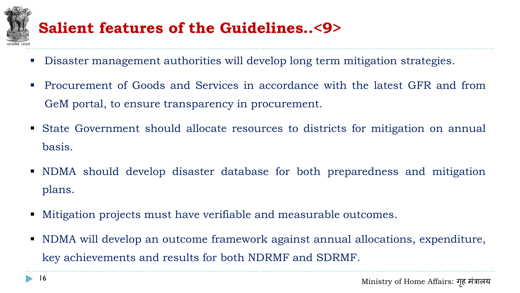

#### **Salient features of the Guidelines..<9>**

- Disaster management authorities will develop long term mitigation strategies.
- Procurement of Goods and Services in accordance with the latest GFR and from GeM portal, to ensure transparency in procurement.
- State Government should allocate resources to districts for mitigation on annual basis.
- NDMA should develop disaster database for both preparedness and mitigation plans.
- Mitigation projects must have verifiable and measurable outcomes.
- NDMA will develop an outcome framework against annual allocations, expenditure, key achievements and results for both NDRMF and SDRMF.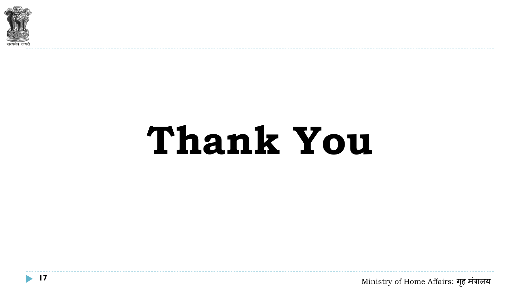

# **Thank You**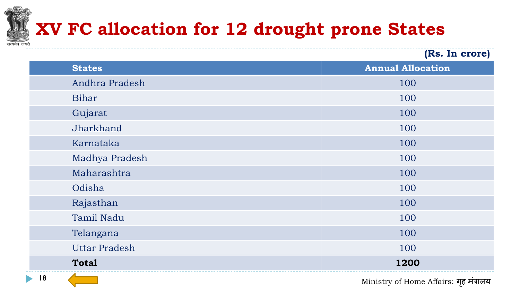# **XV FC allocation for 12 drought prone States**

<span id="page-17-0"></span>

|                      | (Rs. In crore)           |
|----------------------|--------------------------|
| <b>States</b>        | <b>Annual Allocation</b> |
| Andhra Pradesh       | 100                      |
| Bihar                | 100                      |
| Gujarat              | 100                      |
| Jharkhand            | 100                      |
| Karnataka            | 100                      |
| Madhya Pradesh       | 100                      |
| Maharashtra          | 100                      |
| Odisha               | 100                      |
| Rajasthan            | 100                      |
| <b>Tamil Nadu</b>    | 100                      |
| Telangana            | 100                      |
| <b>Uttar Pradesh</b> | 100                      |
| <b>Total</b>         | 1200                     |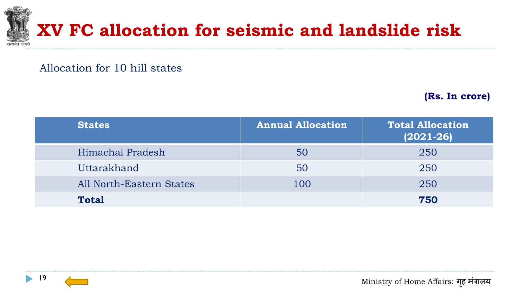

#### Allocation for 10 hill states

**(Rs. In crore)**

<span id="page-18-0"></span>

| <b>States</b>                   | <b>Annual Allocation</b> | <b>Total Allocation</b><br>$(2021 - 26)$ |
|---------------------------------|--------------------------|------------------------------------------|
| Himachal Pradesh                | 50                       | 250                                      |
| Uttarakhand                     | 50                       | 250                                      |
| <b>All North-Eastern States</b> | 100                      | 250                                      |
| <b>Total</b>                    |                          | 750                                      |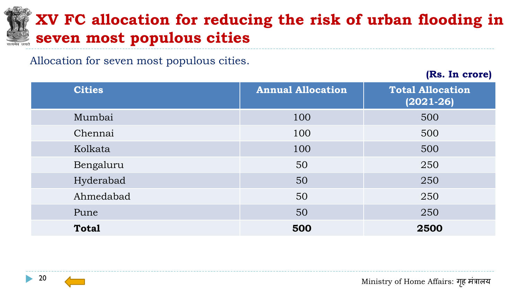#### **XV FC allocation for reducing the risk of urban flooding in seven most populous cities**

Allocation for seven most populous cities.

**(Rs. In crore)**

<span id="page-19-0"></span>

| <b>Cities</b> | <b>Annual Allocation</b> | <b>Total Allocation</b><br>$(2021 - 26)$ |
|---------------|--------------------------|------------------------------------------|
| Mumbai        | 100                      | 500                                      |
| Chennai       | 100                      | 500                                      |
| Kolkata       | 100                      | 500                                      |
| Bengaluru     | 50                       | 250                                      |
| Hyderabad     | 50                       | 250                                      |
| Ahmedabad     | 50                       | 250                                      |
| Pune          | 50                       | 250                                      |
| <b>Total</b>  | 500                      | 2500                                     |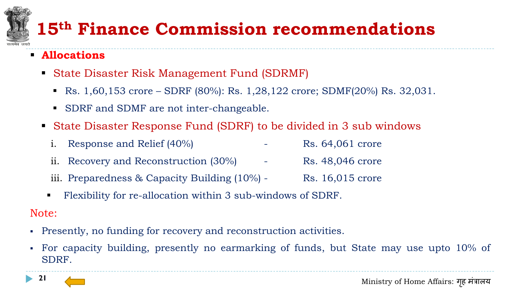# **15th Finance Commission recommendations**

- **Allocations**
	- State Disaster Risk Management Fund (SDRMF)
		- Rs.  $1,60,153$  crore SDRF (80%): Rs.  $1,28,122$  crore; SDMF(20%) Rs.  $32,031$ .
		- SDRF and SDMF are not inter-changeable.
	- State Disaster Response Fund (SDRF) to be divided in 3 sub windows
		- i. Response and Relief  $(40\%)$   $\qquad \qquad$  Rs. 64,061 crore
		- ii. Recovery and Reconstruction (30%) Rs. 48,046 crore
		- iii. Preparedness & Capacity Building  $(10\%)$  Rs. 16,015 crore
		- Flexibility for re-allocation within 3 sub-windows of SDRF.

#### Note:

- Presently, no funding for recovery and reconstruction activities.
- <span id="page-20-0"></span> For capacity building, presently no earmarking of funds, but State may use upto 10% of SDRF.